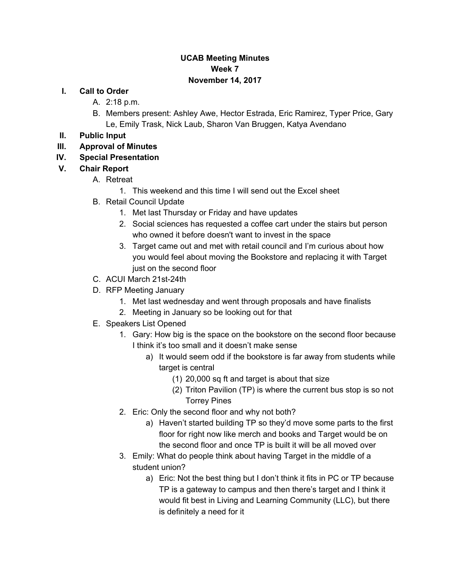#### **UCAB Meeting Minutes Week 7 November 14, 2017**

#### **I. Call to Order**

- A. 2:18 p.m.
- B. Members present: Ashley Awe, Hector Estrada, Eric Ramirez, Typer Price, Gary Le, Emily Trask, Nick Laub, Sharon Van Bruggen, Katya Avendano
- **II. Public Input**
- **III. Approval of Minutes**
- **IV. Special Presentation**
- **V. Chair Report**

#### A. Retreat

- 1. This weekend and this time I will send out the Excel sheet
- B. Retail Council Update
	- 1. Met last Thursday or Friday and have updates
	- 2. Social sciences has requested a coffee cart under the stairs but person who owned it before doesn't want to invest in the space
	- 3. Target came out and met with retail council and I'm curious about how you would feel about moving the Bookstore and replacing it with Target just on the second floor
- C. ACUI March 21st-24th
- D. RFP Meeting January
	- 1. Met last wednesday and went through proposals and have finalists
	- 2. Meeting in January so be looking out for that
- E. Speakers List Opened
	- 1. Gary: How big is the space on the bookstore on the second floor because I think it's too small and it doesn't make sense
		- a) It would seem odd if the bookstore is far away from students while target is central
			- (1) 20,000 sq ft and target is about that size
			- (2) Triton Pavilion (TP) is where the current bus stop is so not Torrey Pines
	- 2. Eric: Only the second floor and why not both?
		- a) Haven't started building TP so they'd move some parts to the first floor for right now like merch and books and Target would be on the second floor and once TP is built it will be all moved over
	- 3. Emily: What do people think about having Target in the middle of a student union?
		- a) Eric: Not the best thing but I don't think it fits in PC or TP because TP is a gateway to campus and then there's target and I think it would fit best in Living and Learning Community (LLC), but there is definitely a need for it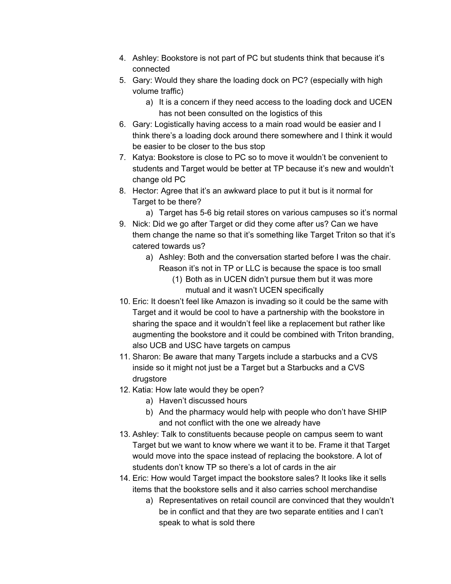- 4. Ashley: Bookstore is not part of PC but students think that because it's connected
- 5. Gary: Would they share the loading dock on PC? (especially with high volume traffic)
	- a) It is a concern if they need access to the loading dock and UCEN has not been consulted on the logistics of this
- 6. Gary: Logistically having access to a main road would be easier and I think there's a loading dock around there somewhere and I think it would be easier to be closer to the bus stop
- 7. Katya: Bookstore is close to PC so to move it wouldn't be convenient to students and Target would be better at TP because it's new and wouldn't change old PC
- 8. Hector: Agree that it's an awkward place to put it but is it normal for Target to be there?
	- a) Target has 5-6 big retail stores on various campuses so it's normal
- 9. Nick: Did we go after Target or did they come after us? Can we have them change the name so that it's something like Target Triton so that it's catered towards us?
	- a) Ashley: Both and the conversation started before I was the chair. Reason it's not in TP or LLC is because the space is too small
		- (1) Both as in UCEN didn't pursue them but it was more mutual and it wasn't UCEN specifically
- 10. Eric: It doesn't feel like Amazon is invading so it could be the same with Target and it would be cool to have a partnership with the bookstore in sharing the space and it wouldn't feel like a replacement but rather like augmenting the bookstore and it could be combined with Triton branding, also UCB and USC have targets on campus
- 11. Sharon: Be aware that many Targets include a starbucks and a CVS inside so it might not just be a Target but a Starbucks and a CVS drugstore
- 12. Katia: How late would they be open?
	- a) Haven't discussed hours
	- b) And the pharmacy would help with people who don't have SHIP and not conflict with the one we already have
- 13. Ashley: Talk to constituents because people on campus seem to want Target but we want to know where we want it to be. Frame it that Target would move into the space instead of replacing the bookstore. A lot of students don't know TP so there's a lot of cards in the air
- 14. Eric: How would Target impact the bookstore sales? It looks like it sells items that the bookstore sells and it also carries school merchandise
	- a) Representatives on retail council are convinced that they wouldn't be in conflict and that they are two separate entities and I can't speak to what is sold there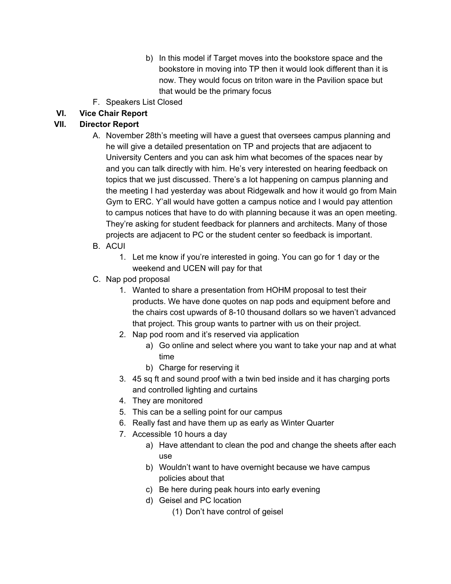- b) In this model if Target moves into the bookstore space and the bookstore in moving into TP then it would look different than it is now. They would focus on triton ware in the Pavilion space but that would be the primary focus
- F. Speakers List Closed

# **VI. Vice Chair Report**

### **Director Report**

- A. November 28th's meeting will have a guest that oversees campus planning and he will give a detailed presentation on TP and projects that are adjacent to University Centers and you can ask him what becomes of the spaces near by and you can talk directly with him. He's very interested on hearing feedback on topics that we just discussed. There's a lot happening on campus planning and the meeting I had yesterday was about Ridgewalk and how it would go from Main Gym to ERC. Y'all would have gotten a campus notice and I would pay attention to campus notices that have to do with planning because it was an open meeting. They're asking for student feedback for planners and architects. Many of those projects are adjacent to PC or the student center so feedback is important.
- B. ACUI
	- 1. Let me know if you're interested in going. You can go for 1 day or the weekend and UCEN will pay for that
- C. Nap pod proposal
	- 1. Wanted to share a presentation from HOHM proposal to test their products. We have done quotes on nap pods and equipment before and the chairs cost upwards of 8-10 thousand dollars so we haven't advanced that project. This group wants to partner with us on their project.
	- 2. Nap pod room and it's reserved via application
		- a) Go online and select where you want to take your nap and at what time
		- b) Charge for reserving it
	- 3. 45 sq ft and sound proof with a twin bed inside and it has charging ports and controlled lighting and curtains
	- 4. They are monitored
	- 5. This can be a selling point for our campus
	- 6. Really fast and have them up as early as Winter Quarter
	- 7. Accessible 10 hours a day
		- a) Have attendant to clean the pod and change the sheets after each use
		- b) Wouldn't want to have overnight because we have campus policies about that
		- c) Be here during peak hours into early evening
		- d) Geisel and PC location
			- (1) Don't have control of geisel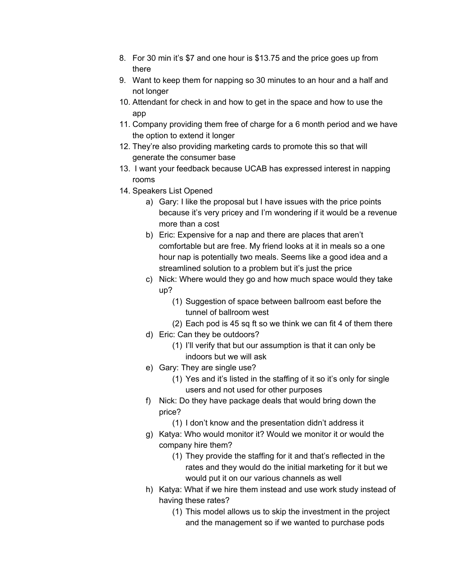- 8. For 30 min it's \$7 and one hour is \$13.75 and the price goes up from there
- 9. Want to keep them for napping so 30 minutes to an hour and a half and not longer
- 10. Attendant for check in and how to get in the space and how to use the app
- 11. Company providing them free of charge for a 6 month period and we have the option to extend it longer
- 12. They're also providing marketing cards to promote this so that will generate the consumer base
- 13. I want your feedback because UCAB has expressed interest in napping rooms
- 14. Speakers List Opened
	- a) Gary: I like the proposal but I have issues with the price points because it's very pricey and I'm wondering if it would be a revenue more than a cost
	- b) Eric: Expensive for a nap and there are places that aren't comfortable but are free. My friend looks at it in meals so a one hour nap is potentially two meals. Seems like a good idea and a streamlined solution to a problem but it's just the price
	- c) Nick: Where would they go and how much space would they take up?
		- (1) Suggestion of space between ballroom east before the tunnel of ballroom west
		- (2) Each pod is 45 sq ft so we think we can fit 4 of them there
	- d) Eric: Can they be outdoors?
		- (1) I'll verify that but our assumption is that it can only be indoors but we will ask
	- e) Gary: They are single use?
		- (1) Yes and it's listed in the staffing of it so it's only for single users and not used for other purposes
	- f) Nick: Do they have package deals that would bring down the price?
		- (1) I don't know and the presentation didn't address it
	- g) Katya: Who would monitor it? Would we monitor it or would the company hire them?
		- (1) They provide the staffing for it and that's reflected in the rates and they would do the initial marketing for it but we would put it on our various channels as well
	- h) Katya: What if we hire them instead and use work study instead of having these rates?
		- (1) This model allows us to skip the investment in the project and the management so if we wanted to purchase pods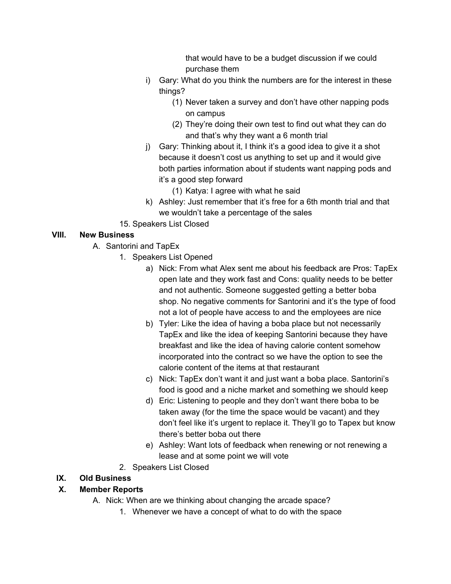that would have to be a budget discussion if we could purchase them

- i) Gary: What do you think the numbers are for the interest in these things?
	- (1) Never taken a survey and don't have other napping pods on campus
	- (2) They're doing their own test to find out what they can do and that's why they want a 6 month trial
- j) Gary: Thinking about it, I think it's a good idea to give it a shot because it doesn't cost us anything to set up and it would give both parties information about if students want napping pods and it's a good step forward
	- (1) Katya: I agree with what he said
- k) Ashley: Just remember that it's free for a 6th month trial and that we wouldn't take a percentage of the sales
- 15. Speakers List Closed

## **VIII. New Business**

- A. Santorini and TapEx
	- 1. Speakers List Opened
		- a) Nick: From what Alex sent me about his feedback are Pros: TapEx open late and they work fast and Cons: quality needs to be better and not authentic. Someone suggested getting a better boba shop. No negative comments for Santorini and it's the type of food not a lot of people have access to and the employees are nice
		- b) Tyler: Like the idea of having a boba place but not necessarily TapEx and like the idea of keeping Santorini because they have breakfast and like the idea of having calorie content somehow incorporated into the contract so we have the option to see the calorie content of the items at that restaurant
		- c) Nick: TapEx don't want it and just want a boba place. Santorini's food is good and a niche market and something we should keep
		- d) Eric: Listening to people and they don't want there boba to be taken away (for the time the space would be vacant) and they don't feel like it's urgent to replace it. They'll go to Tapex but know there's better boba out there
		- e) Ashley: Want lots of feedback when renewing or not renewing a lease and at some point we will vote
	- 2. Speakers List Closed

#### **IX. Old Business**

# **X. Member Reports**

- A. Nick: When are we thinking about changing the arcade space?
	- 1. Whenever we have a concept of what to do with the space